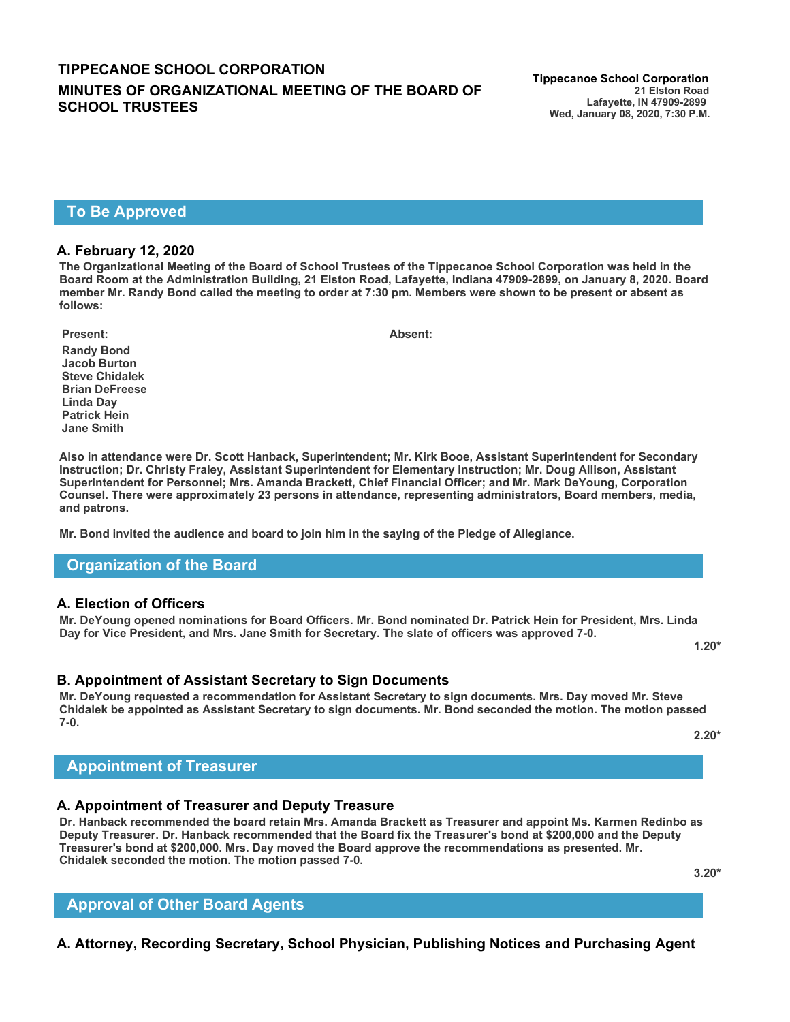## **TIPPECANOE SCHOOL CORPORATION Tippecanoe School Corporation MINUTES OF ORGANIZATIONAL MEETING OF THE BOARD OF SCHOOL TRUSTEES**

### **To Be Approved**

#### **A. February 12, 2020**

**The Organizational Meeting of the Board of School Trustees of the Tippecanoe School Corporation was held in the Board Room at the Administration Building, 21 Elston Road, Lafayette, Indiana 47909-2899, on January 8, 2020. Board member Mr. Randy Bond called the meeting to order at 7:30 pm. Members were shown to be present or absent as follows:**

**Randy Bond Jacob Burton Steve Chidalek Brian DeFreese Linda Day Patrick Hein Jane Smith**

**Also in attendance were Dr. Scott Hanback, Superintendent; Mr. Kirk Booe, Assistant Superintendent for Secondary Instruction; Dr. Christy Fraley, Assistant Superintendent for Elementary Instruction; Mr. Doug Allison, Assistant Superintendent for Personnel; Mrs. Amanda Brackett, Chief Financial Officer; and Mr. Mark DeYoung, Corporation Counsel. There were approximately 23 persons in attendance, representing administrators, Board members, media, and patrons.**

**Mr. Bond invited the audience and board to join him in the saying of the Pledge of Allegiance.**

### **Organization of the Board**

#### **A. Election of Officers**

**Mr. DeYoung opened nominations for Board Officers. Mr. Bond nominated Dr. Patrick Hein for President, Mrs. Linda Day for Vice President, and Mrs. Jane Smith for Secretary. The slate of officers was approved 7-0. 1.20\***

**B. Appointment of Assistant Secretary to Sign Documents** 

**Mr. DeYoung requested a recommendation for Assistant Secretary to sign documents. Mrs. Day moved Mr. Steve Chidalek be appointed as Assistant Secretary to sign documents. Mr. Bond seconded the motion. The motion passed 7-0.** 

**2.20\***

## **Appointment of Treasurer**

### **A. Appointment of Treasurer and Deputy Treasure**

**Dr. Hanback recommended the board retain Mrs. Amanda Brackett as Treasurer and appoint Ms. Karmen Redinbo as Deputy Treasurer. Dr. Hanback recommended that the Board fix the Treasurer's bond at \$200,000 and the Deputy Treasurer's bond at \$200,000. Mrs. Day moved the Board approve the recommendations as presented. Mr. Chidalek seconded the motion. The motion passed 7-0.**

**3.20\***

# **Approval of Other Board Agents**

**A. Attorney, Recording Secretary, School Physician, Publishing Notices and Purchasing Agent** 

**Present: Absent:**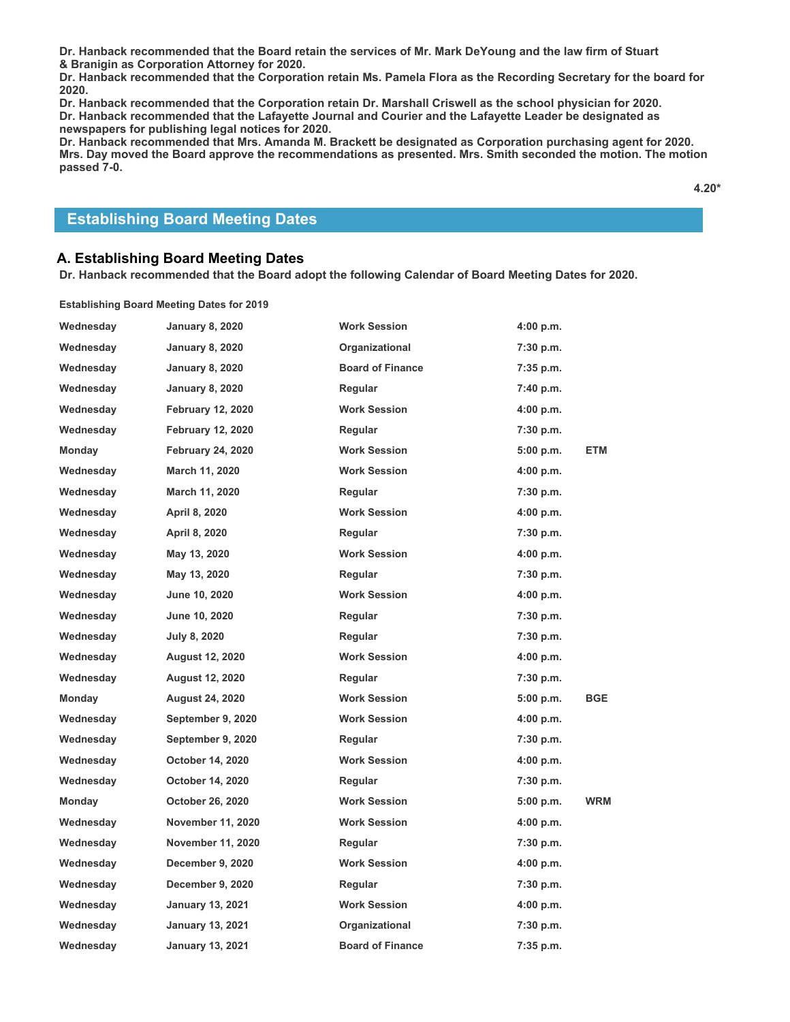**Dr. Hanback recommended that the Board retain the services of Mr. Mark DeYoung and the law firm of Stuart & Branigin as Corporation Attorney for 2020.**

**Dr. Hanback recommended that the Corporation retain Ms. Pamela Flora as the Recording Secretary for the board for 2020.**

**Dr. Hanback recommended that the Corporation retain Dr. Marshall Criswell as the school physician for 2020. Dr. Hanback recommended that the Lafayette Journal and Courier and the Lafayette Leader be designated as newspapers for publishing legal notices for 2020.**

**Dr. Hanback recommended that Mrs. Amanda M. Brackett be designated as Corporation purchasing agent for 2020. Mrs. Day moved the Board approve the recommendations as presented. Mrs. Smith seconded the motion. The motion passed 7-0.**

**4.20\***

### **Establishing Board Meeting Dates**

### **A. Establishing Board Meeting Dates**

**Dr. Hanback recommended that the Board adopt the following Calendar of Board Meeting Dates for 2020.** 

**Establishing Board Meeting Dates for 2019**

| Wednesday | <b>January 8, 2020</b>   | <b>Work Session</b>     | 4:00 p.m. |            |
|-----------|--------------------------|-------------------------|-----------|------------|
| Wednesday | <b>January 8, 2020</b>   | <b>Organizational</b>   | 7:30 p.m. |            |
| Wednesday | <b>January 8, 2020</b>   | <b>Board of Finance</b> | 7:35 p.m. |            |
| Wednesday | <b>January 8, 2020</b>   | Regular                 | 7:40 p.m. |            |
| Wednesday | <b>February 12, 2020</b> | <b>Work Session</b>     | 4:00 p.m. |            |
| Wednesday | <b>February 12, 2020</b> | Regular                 | 7:30 p.m. |            |
| Monday    | <b>February 24, 2020</b> | <b>Work Session</b>     | 5:00 p.m. | ETM        |
| Wednesday | March 11, 2020           | <b>Work Session</b>     | 4:00 p.m. |            |
| Wednesday | March 11, 2020           | Regular                 | 7:30 p.m. |            |
| Wednesday | April 8, 2020            | <b>Work Session</b>     | 4:00 p.m. |            |
| Wednesday | April 8, 2020            | Regular                 | 7:30 p.m. |            |
| Wednesday | May 13, 2020             | <b>Work Session</b>     | 4:00 p.m. |            |
| Wednesday | May 13, 2020             | Regular                 | 7:30 p.m. |            |
| Wednesday | June 10, 2020            | <b>Work Session</b>     | 4:00 p.m. |            |
| Wednesday | June 10, 2020            | Regular                 | 7:30 p.m. |            |
| Wednesday | July 8, 2020             | Regular                 | 7:30 p.m. |            |
| Wednesday | <b>August 12, 2020</b>   | <b>Work Session</b>     | 4:00 p.m. |            |
| Wednesday | <b>August 12, 2020</b>   | Regular                 | 7:30 p.m. |            |
| Monday    | <b>August 24, 2020</b>   | <b>Work Session</b>     | 5:00 p.m. | <b>BGE</b> |
| Wednesday | September 9, 2020        | <b>Work Session</b>     | 4:00 p.m. |            |
| Wednesday | September 9, 2020        | Regular                 | 7:30 p.m. |            |
| Wednesday | October 14, 2020         | <b>Work Session</b>     | 4:00 p.m. |            |
| Wednesday | October 14, 2020         | Regular                 | 7:30 p.m. |            |
| Monday    | October 26, 2020         | <b>Work Session</b>     | 5:00 p.m. | <b>WRM</b> |
| Wednesday | <b>November 11, 2020</b> | <b>Work Session</b>     | 4:00 p.m. |            |
| Wednesday | <b>November 11, 2020</b> | Regular                 | 7:30 p.m. |            |
| Wednesday | December 9, 2020         | <b>Work Session</b>     | 4:00 p.m. |            |
| Wednesday | <b>December 9, 2020</b>  | Regular                 | 7:30 p.m. |            |
| Wednesday | <b>January 13, 2021</b>  | <b>Work Session</b>     | 4:00 p.m. |            |
| Wednesday | <b>January 13, 2021</b>  | Organizational          | 7:30 p.m. |            |
| Wednesday | <b>January 13, 2021</b>  | <b>Board of Finance</b> | 7:35 p.m. |            |